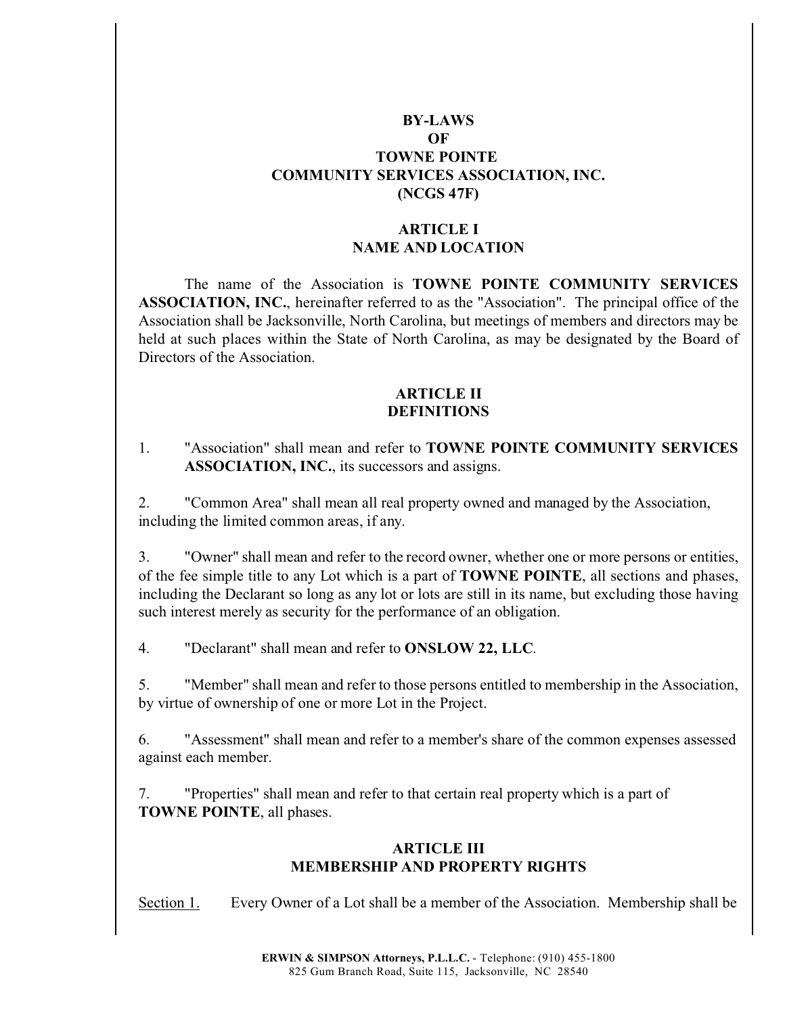## **BY-LAWS OF TOWNE POINTE COMMUNITY SERVICES ASSOCIATION, INC. (NCGS 47F)**

### **ARTICLE I NAME AND LOCATION**

The name of the Association is **TOWNE POINTE COMMUNITY SERVICES ASSOCIATION, INC.**, hereinafter referred to as the "Association". The principal office of the Association shall be Jacksonville, North Carolina, but meetings of members and directors may be held at such places within the State of North Carolina, as may be designated by the Board of Directors of the Association.

### **ARTICLE II DEFINITIONS**

1. "Association" shall mean and refer to **TOWNE POINTE COMMUNITY SERVICES ASSOCIATION, INC.**, its successors and assigns.

2. "Common Area" shall mean all real property owned and managed by the Association, including the limited common areas, if any.

3. "Owner" shall mean and refer to the record owner, whether one or more persons or entities, of the fee simple title to any Lot which is a part of **TOWNE POINTE**, all sections and phases, including the Declarant so long as any lot or lots are still in its name, but excluding those having such interest merely as security for the performance of an obligation.

4. "Declarant" shall mean and refer to **ONSLOW 22, LLC**.

5. "Member" shall mean and refer to those persons entitled to membership in the Association, by virtue of ownership of one or more Lot in the Project.

6. "Assessment" shall mean and refer to a member's share of the common expenses assessed against each member.

7. "Properties" shall mean and refer to that certain real property which is a part of **TOWNE POINTE**, all phases.

### **ARTICLE III MEMBERSHIP AND PROPERTY RIGHTS**

Section 1. Every Owner of a Lot shall be a member of the Association. Membership shall be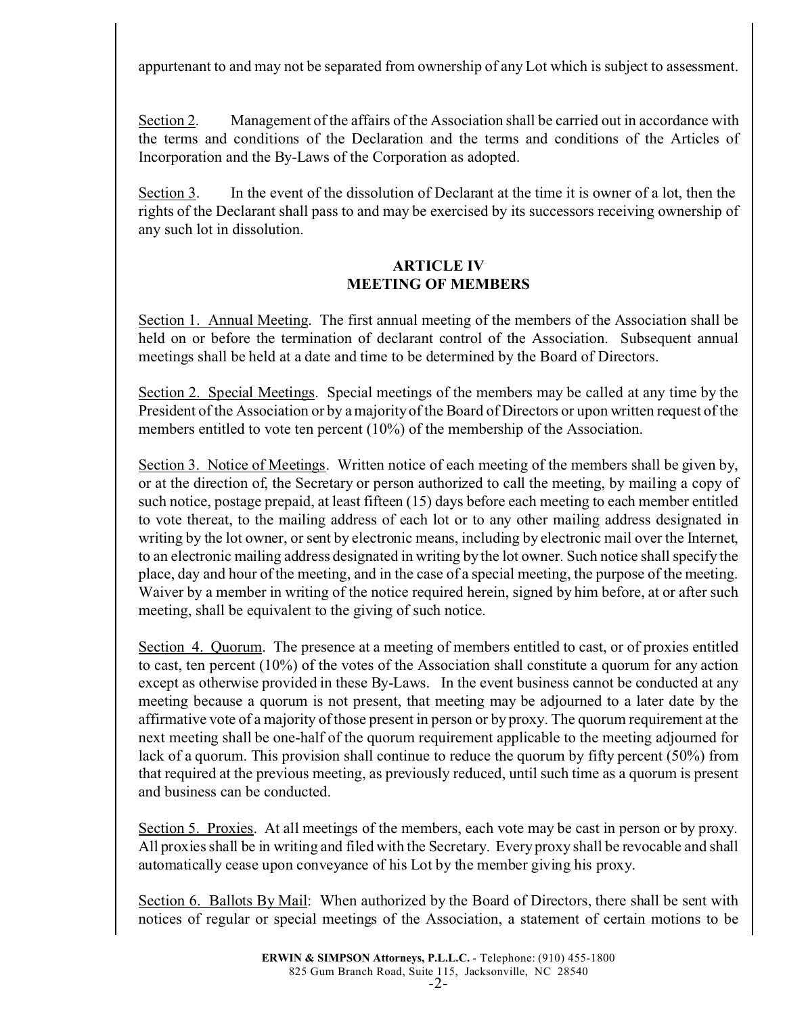appurtenant to and may not be separated from ownership of any Lot which is subject to assessment.

Section 2. Management of the affairs of the Association shall be carried out in accordance with the terms and conditions of the Declaration and the terms and conditions of the Articles of Incorporation and the By-Laws of the Corporation as adopted.

Section 3. In the event of the dissolution of Declarant at the time it is owner of a lot, then the rights of the Declarant shall pass to and may be exercised by its successors receiving ownership of any such lot in dissolution.

## **ARTICLE IV MEETING OF MEMBERS**

Section 1. Annual Meeting. The first annual meeting of the members of the Association shall be held on or before the termination of declarant control of the Association. Subsequent annual meetings shall be held at a date and time to be determined by the Board of Directors.

Section 2. Special Meetings. Special meetings of the members may be called at any time by the President of the Association or by a majority of the Board of Directors or upon written request of the members entitled to vote ten percent (10%) of the membership of the Association.

Section 3. Notice of Meetings. Written notice of each meeting of the members shall be given by, or at the direction of, the Secretary or person authorized to call the meeting, by mailing a copy of such notice, postage prepaid, at least fifteen (15) days before each meeting to each member entitled to vote thereat, to the mailing address of each lot or to any other mailing address designated in writing by the lot owner, or sent by electronic means, including by electronic mail over the Internet, to an electronic mailing address designated in writing by the lot owner. Such notice shall specify the place, day and hour of the meeting, and in the case of a special meeting, the purpose of the meeting. Waiver by a member in writing of the notice required herein, signed by him before, at or after such meeting, shall be equivalent to the giving of such notice.

Section 4. Quorum. The presence at a meeting of members entitled to cast, or of proxies entitled to cast, ten percent (10%) of the votes of the Association shall constitute a quorum for any action except as otherwise provided in these By-Laws. In the event business cannot be conducted at any meeting because a quorum is not present, that meeting may be adjourned to a later date by the affirmative vote of a majority of those present in person or by proxy. The quorum requirement at the next meeting shall be one-half of the quorum requirement applicable to the meeting adjourned for lack of a quorum. This provision shall continue to reduce the quorum by fifty percent (50%) from that required at the previous meeting, as previously reduced, until such time as a quorum is present and business can be conducted.

Section 5. Proxies. At all meetings of the members, each vote may be cast in person or by proxy. All proxies shall be in writing and filed with the Secretary. Every proxy shall be revocable and shall automatically cease upon conveyance of his Lot by the member giving his proxy.

Section 6. Ballots By Mail: When authorized by the Board of Directors, there shall be sent with notices of regular or special meetings of the Association, a statement of certain motions to be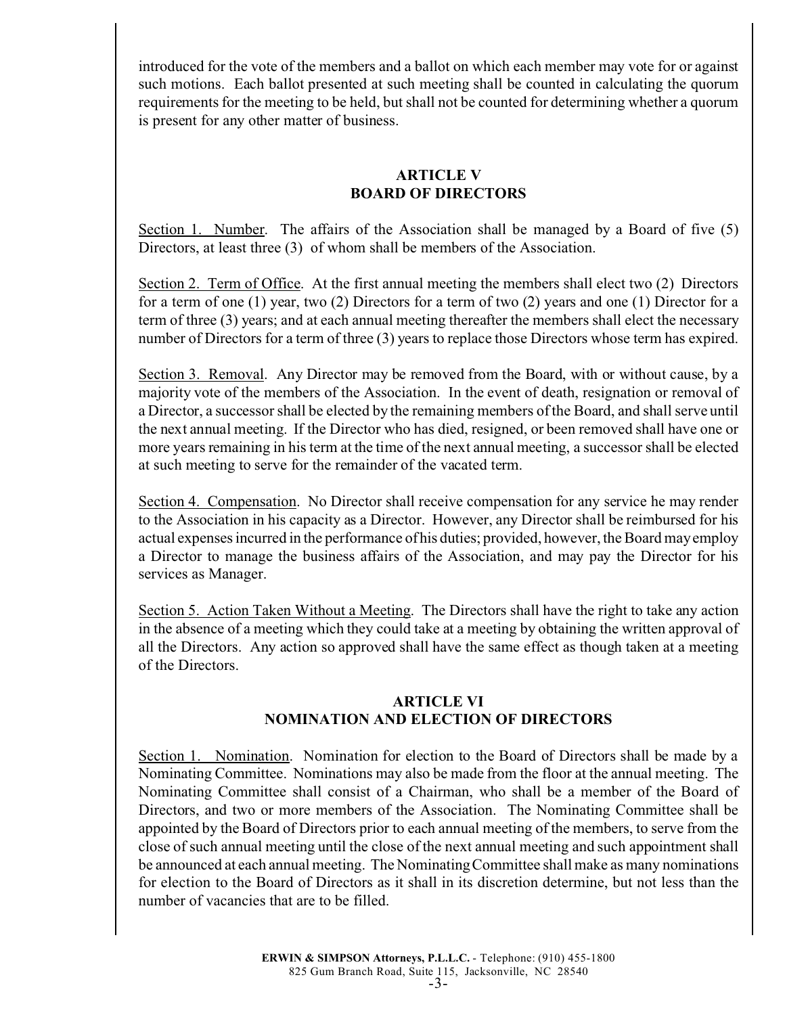introduced for the vote of the members and a ballot on which each member may vote for or against such motions. Each ballot presented at such meeting shall be counted in calculating the quorum requirements for the meeting to be held, but shall not be counted for determining whether a quorum is present for any other matter of business.

## **ARTICLE V BOARD OF DIRECTORS**

Section 1. Number. The affairs of the Association shall be managed by a Board of five (5) Directors, at least three (3) of whom shall be members of the Association.

Section 2. Term of Office. At the first annual meeting the members shall elect two (2) Directors for a term of one (1) year, two (2) Directors for a term of two (2) years and one (1) Director for a term of three (3) years; and at each annual meeting thereafter the members shall elect the necessary number of Directors for a term of three (3) years to replace those Directors whose term has expired.

Section 3. Removal. Any Director may be removed from the Board, with or without cause, by a majority vote of the members of the Association. In the event of death, resignation or removal of a Director, a successor shall be elected by the remaining members of the Board, and shall serve until the next annual meeting. If the Director who has died, resigned, or been removed shall have one or more years remaining in his term at the time of the next annual meeting, a successor shall be elected at such meeting to serve for the remainder of the vacated term.

Section 4. Compensation. No Director shall receive compensation for any service he may render to the Association in his capacity as a Director. However, any Director shall be reimbursed for his actual expenses incurred in the performance of his duties; provided, however, the Board may employ a Director to manage the business affairs of the Association, and may pay the Director for his services as Manager.

Section 5. Action Taken Without a Meeting. The Directors shall have the right to take any action in the absence of a meeting which they could take at a meeting by obtaining the written approval of all the Directors. Any action so approved shall have the same effect as though taken at a meeting of the Directors.

## **ARTICLE VI NOMINATION AND ELECTION OF DIRECTORS**

Section 1. Nomination. Nomination for election to the Board of Directors shall be made by a Nominating Committee. Nominations may also be made from the floor at the annual meeting. The Nominating Committee shall consist of a Chairman, who shall be a member of the Board of Directors, and two or more members of the Association. The Nominating Committee shall be appointed by the Board of Directors prior to each annual meeting of the members, to serve from the close of such annual meeting until the close of the next annual meeting and such appointment shall be announced at each annual meeting. The Nominating Committee shall make as many nominations for election to the Board of Directors as it shall in its discretion determine, but not less than the number of vacancies that are to be filled.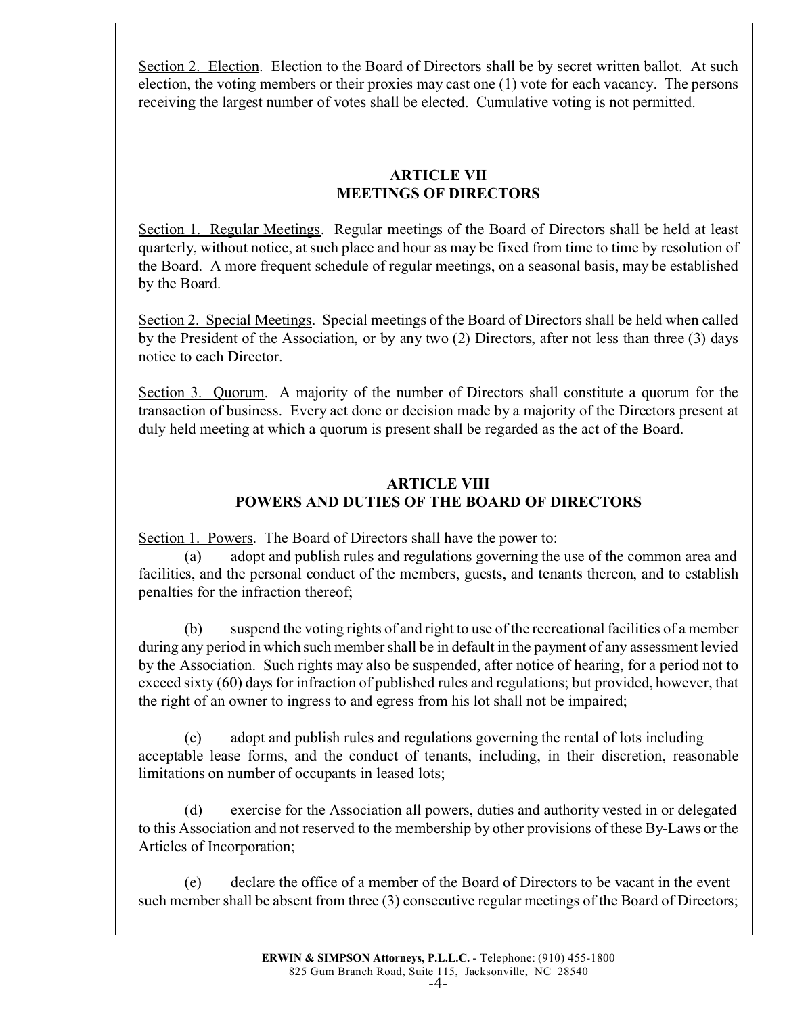Section 2. Election. Election to the Board of Directors shall be by secret written ballot. At such election, the voting members or their proxies may cast one (1) vote for each vacancy. The persons receiving the largest number of votes shall be elected. Cumulative voting is not permitted.

## **ARTICLE VII MEETINGS OF DIRECTORS**

Section 1. Regular Meetings. Regular meetings of the Board of Directors shall be held at least quarterly, without notice, at such place and hour as may be fixed from time to time by resolution of the Board. A more frequent schedule of regular meetings, on a seasonal basis, may be established by the Board.

Section 2. Special Meetings. Special meetings of the Board of Directors shall be held when called by the President of the Association, or by any two (2) Directors, after not less than three (3) days notice to each Director.

Section 3. Quorum. A majority of the number of Directors shall constitute a quorum for the transaction of business. Every act done or decision made by a majority of the Directors present at duly held meeting at which a quorum is present shall be regarded as the act of the Board.

# **ARTICLE VIII POWERS AND DUTIES OF THE BOARD OF DIRECTORS**

Section 1. Powers. The Board of Directors shall have the power to:

(a) adopt and publish rules and regulations governing the use of the common area and facilities, and the personal conduct of the members, guests, and tenants thereon, and to establish penalties for the infraction thereof;

(b) suspend the voting rights of and right to use of the recreational facilities of a member during any period in which such member shall be in default in the payment of any assessment levied by the Association. Such rights may also be suspended, after notice of hearing, for a period not to exceed sixty (60) days for infraction of published rules and regulations; but provided, however, that the right of an owner to ingress to and egress from his lot shall not be impaired;

(c) adopt and publish rules and regulations governing the rental of lots including acceptable lease forms, and the conduct of tenants, including, in their discretion, reasonable limitations on number of occupants in leased lots;

(d) exercise for the Association all powers, duties and authority vested in or delegated to this Association and not reserved to the membership by other provisions of these By-Laws or the Articles of Incorporation;

(e) declare the office of a member of the Board of Directors to be vacant in the event such member shall be absent from three (3) consecutive regular meetings of the Board of Directors;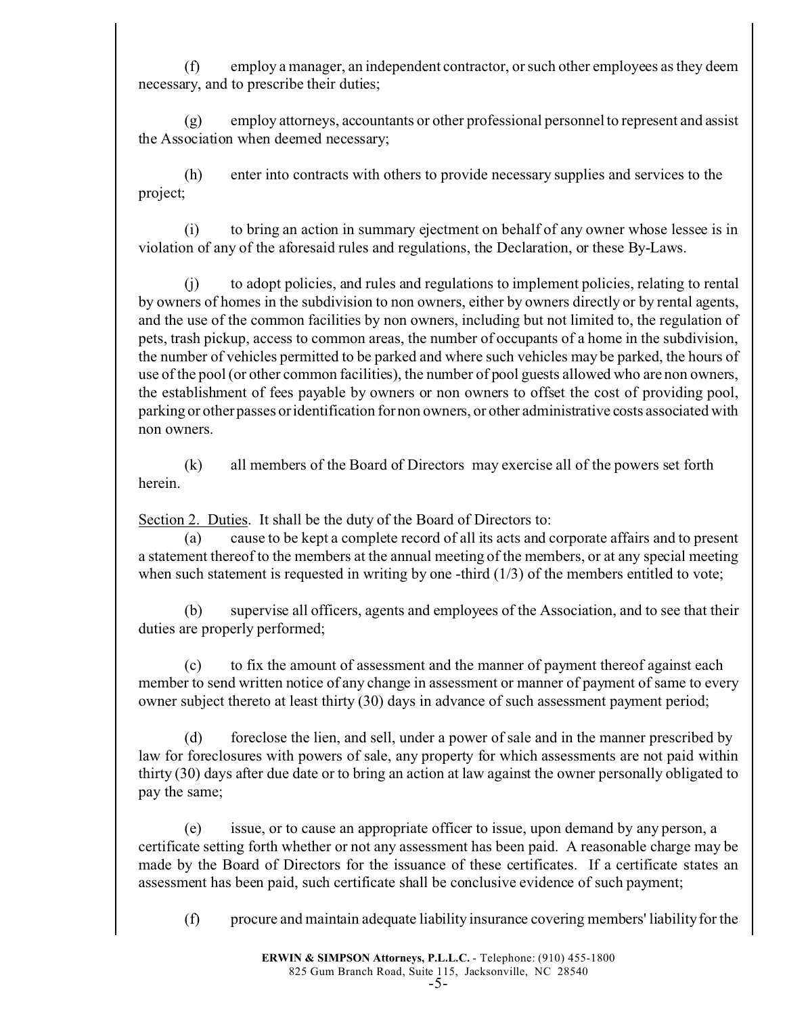(f) employ a manager, an independent contractor, or such other employees as they deem necessary, and to prescribe their duties;

(g) employ attorneys, accountants or other professional personnel to represent and assist the Association when deemed necessary;

(h) enter into contracts with others to provide necessary supplies and services to the project;

(i) to bring an action in summary ejectment on behalf of any owner whose lessee is in violation of any of the aforesaid rules and regulations, the Declaration, or these By-Laws.

(j) to adopt policies, and rules and regulations to implement policies, relating to rental by owners of homes in the subdivision to non owners, either by owners directly or by rental agents, and the use of the common facilities by non owners, including but not limited to, the regulation of pets, trash pickup, access to common areas, the number of occupants of a home in the subdivision, the number of vehicles permitted to be parked and where such vehicles may be parked, the hours of use of the pool (or other common facilities), the number of pool guests allowed who are non owners, the establishment of fees payable by owners or non owners to offset the cost of providing pool, parking or other passes or identification for non owners, or other administrative costs associated with non owners.

(k) all members of the Board of Directors may exercise all of the powers set forth herein.

Section 2. Duties. It shall be the duty of the Board of Directors to:

(a) cause to be kept a complete record of all its acts and corporate affairs and to present a statement thereof to the members at the annual meeting of the members, or at any special meeting when such statement is requested in writing by one -third  $(1/3)$  of the members entitled to vote;

(b) supervise all officers, agents and employees of the Association, and to see that their duties are properly performed;

(c) to fix the amount of assessment and the manner of payment thereof against each member to send written notice of any change in assessment or manner of payment of same to every owner subject thereto at least thirty (30) days in advance of such assessment payment period;

(d) foreclose the lien, and sell, under a power of sale and in the manner prescribed by law for foreclosures with powers of sale, any property for which assessments are not paid within thirty (30) days after due date or to bring an action at law against the owner personally obligated to pay the same;

(e) issue, or to cause an appropriate officer to issue, upon demand by any person, a certificate setting forth whether or not any assessment has been paid. A reasonable charge may be made by the Board of Directors for the issuance of these certificates. If a certificate states an assessment has been paid, such certificate shall be conclusive evidence of such payment;

(f) procure and maintain adequate liability insurance covering members' liability for the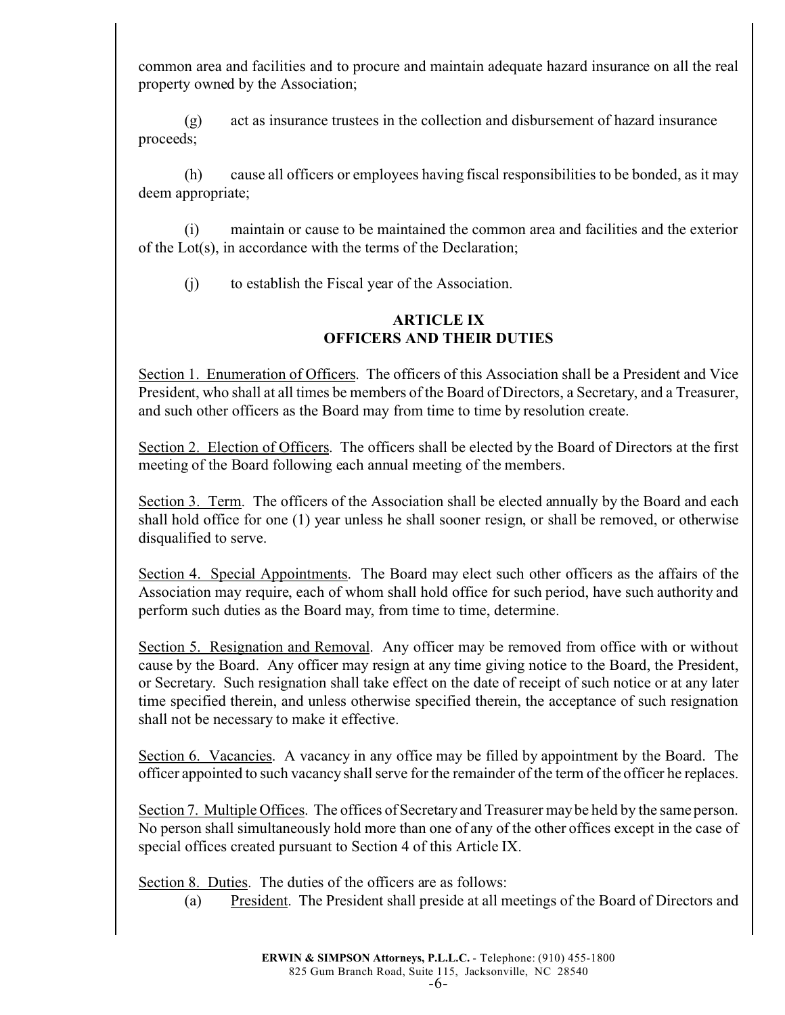common area and facilities and to procure and maintain adequate hazard insurance on all the real property owned by the Association;

(g) act as insurance trustees in the collection and disbursement of hazard insurance proceeds;

(h) cause all officers or employees having fiscal responsibilities to be bonded, as it may deem appropriate;

(i) maintain or cause to be maintained the common area and facilities and the exterior of the Lot(s), in accordance with the terms of the Declaration;

(j) to establish the Fiscal year of the Association.

## **ARTICLE IX OFFICERS AND THEIR DUTIES**

Section 1. Enumeration of Officers. The officers of this Association shall be a President and Vice President, who shall at all times be members of the Board of Directors, a Secretary, and a Treasurer, and such other officers as the Board may from time to time by resolution create.

Section 2. Election of Officers. The officers shall be elected by the Board of Directors at the first meeting of the Board following each annual meeting of the members.

Section 3. Term. The officers of the Association shall be elected annually by the Board and each shall hold office for one (1) year unless he shall sooner resign, or shall be removed, or otherwise disqualified to serve.

Section 4. Special Appointments. The Board may elect such other officers as the affairs of the Association may require, each of whom shall hold office for such period, have such authority and perform such duties as the Board may, from time to time, determine.

Section 5. Resignation and Removal. Any officer may be removed from office with or without cause by the Board. Any officer may resign at any time giving notice to the Board, the President, or Secretary. Such resignation shall take effect on the date of receipt of such notice or at any later time specified therein, and unless otherwise specified therein, the acceptance of such resignation shall not be necessary to make it effective.

Section 6. Vacancies. A vacancy in any office may be filled by appointment by the Board. The officer appointed to such vacancy shall serve for the remainder of the term of the officer he replaces.

Section 7. Multiple Offices. The offices of Secretary and Treasurer may be held by the same person. No person shall simultaneously hold more than one of any of the other offices except in the case of special offices created pursuant to Section 4 of this Article IX.

Section 8. Duties. The duties of the officers are as follows:

(a) President. The President shall preside at all meetings of the Board of Directors and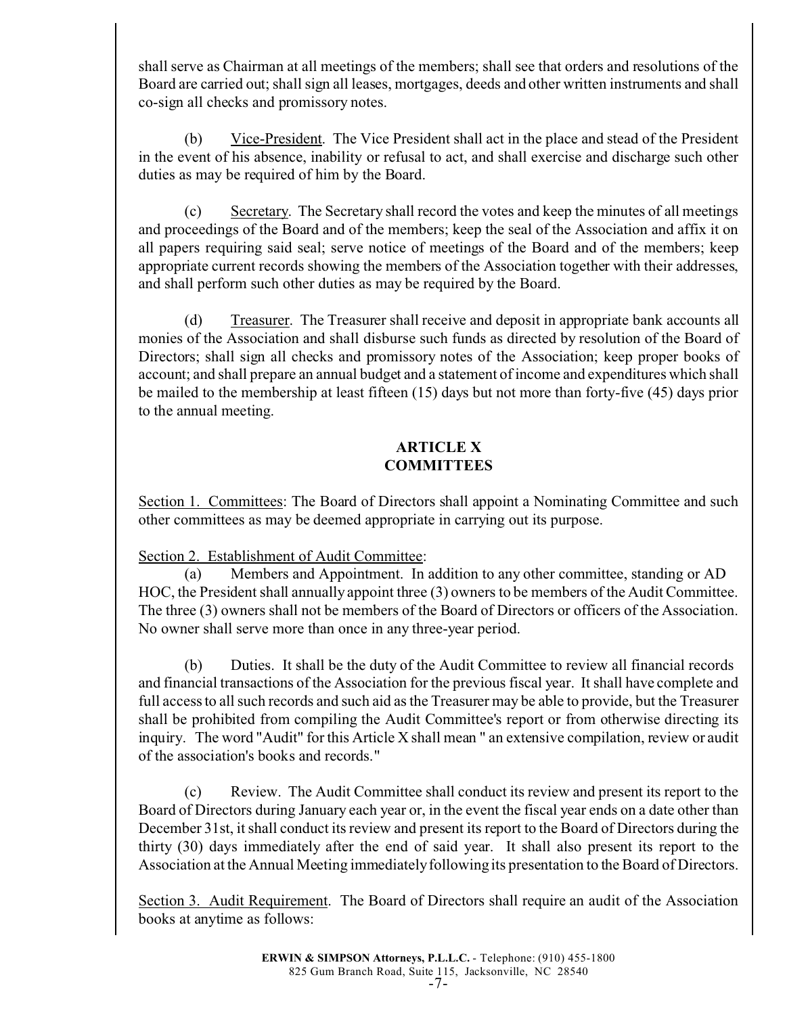shall serve as Chairman at all meetings of the members; shall see that orders and resolutions of the Board are carried out; shall sign all leases, mortgages, deeds and other written instruments and shall co-sign all checks and promissory notes.

(b) Vice-President. The Vice President shall act in the place and stead of the President in the event of his absence, inability or refusal to act, and shall exercise and discharge such other duties as may be required of him by the Board.

(c) Secretary. The Secretary shall record the votes and keep the minutes of all meetings and proceedings of the Board and of the members; keep the seal of the Association and affix it on all papers requiring said seal; serve notice of meetings of the Board and of the members; keep appropriate current records showing the members of the Association together with their addresses, and shall perform such other duties as may be required by the Board.

 (d) Treasurer. The Treasurer shall receive and deposit in appropriate bank accounts all monies of the Association and shall disburse such funds as directed by resolution of the Board of Directors; shall sign all checks and promissory notes of the Association; keep proper books of account; and shall prepare an annual budget and a statement of income and expenditures which shall be mailed to the membership at least fifteen (15) days but not more than forty-five (45) days prior to the annual meeting.

## **ARTICLE X COMMITTEES**

Section 1. Committees: The Board of Directors shall appoint a Nominating Committee and such other committees as may be deemed appropriate in carrying out its purpose.

Section 2. Establishment of Audit Committee:

(a) Members and Appointment. In addition to any other committee, standing or AD HOC, the President shall annually appoint three (3) owners to be members of the Audit Committee. The three (3) owners shall not be members of the Board of Directors or officers of the Association. No owner shall serve more than once in any three-year period.

(b) Duties. It shall be the duty of the Audit Committee to review all financial records and financial transactions of the Association for the previous fiscal year. It shall have complete and full access to all such records and such aid as the Treasurer may be able to provide, but the Treasurer shall be prohibited from compiling the Audit Committee's report or from otherwise directing its inquiry. The word "Audit" for this Article X shall mean " an extensive compilation, review or audit of the association's books and records."

(c) Review. The Audit Committee shall conduct its review and present its report to the Board of Directors during January each year or, in the event the fiscal year ends on a date other than December 31st, it shall conduct its review and present its report to the Board of Directors during the thirty (30) days immediately after the end of said year. It shall also present its report to the Association at the Annual Meeting immediately following its presentation to the Board of Directors.

Section 3. Audit Requirement. The Board of Directors shall require an audit of the Association books at anytime as follows: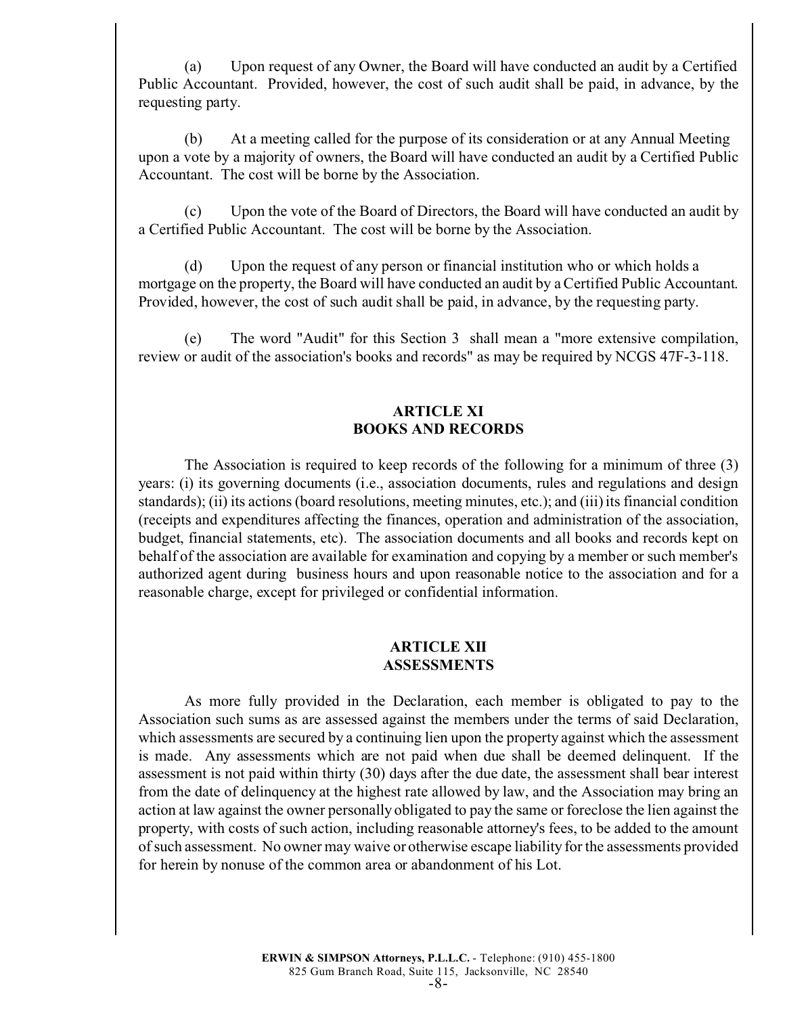(a) Upon request of any Owner, the Board will have conducted an audit by a Certified Public Accountant. Provided, however, the cost of such audit shall be paid, in advance, by the requesting party.

(b) At a meeting called for the purpose of its consideration or at any Annual Meeting upon a vote by a majority of owners, the Board will have conducted an audit by a Certified Public Accountant. The cost will be borne by the Association.

(c) Upon the vote of the Board of Directors, the Board will have conducted an audit by a Certified Public Accountant. The cost will be borne by the Association.

(d) Upon the request of any person or financial institution who or which holds a mortgage on the property, the Board will have conducted an audit by a Certified Public Accountant. Provided, however, the cost of such audit shall be paid, in advance, by the requesting party.

(e) The word "Audit" for this Section 3 shall mean a "more extensive compilation, review or audit of the association's books and records" as may be required by NCGS 47F-3-118.

### **ARTICLE XI BOOKS AND RECORDS**

The Association is required to keep records of the following for a minimum of three (3) years: (i) its governing documents (i.e., association documents, rules and regulations and design standards); (ii) its actions (board resolutions, meeting minutes, etc.); and (iii) its financial condition (receipts and expenditures affecting the finances, operation and administration of the association, budget, financial statements, etc). The association documents and all books and records kept on behalf of the association are available for examination and copying by a member or such member's authorized agent during business hours and upon reasonable notice to the association and for a reasonable charge, except for privileged or confidential information.

### **ARTICLE XII ASSESSMENTS**

As more fully provided in the Declaration, each member is obligated to pay to the Association such sums as are assessed against the members under the terms of said Declaration, which assessments are secured by a continuing lien upon the property against which the assessment is made. Any assessments which are not paid when due shall be deemed delinquent. If the assessment is not paid within thirty (30) days after the due date, the assessment shall bear interest from the date of delinquency at the highest rate allowed by law, and the Association may bring an action at law against the owner personally obligated to pay the same or foreclose the lien against the property, with costs of such action, including reasonable attorney's fees, to be added to the amount of such assessment. No owner may waive or otherwise escape liability for the assessments provided for herein by nonuse of the common area or abandonment of his Lot.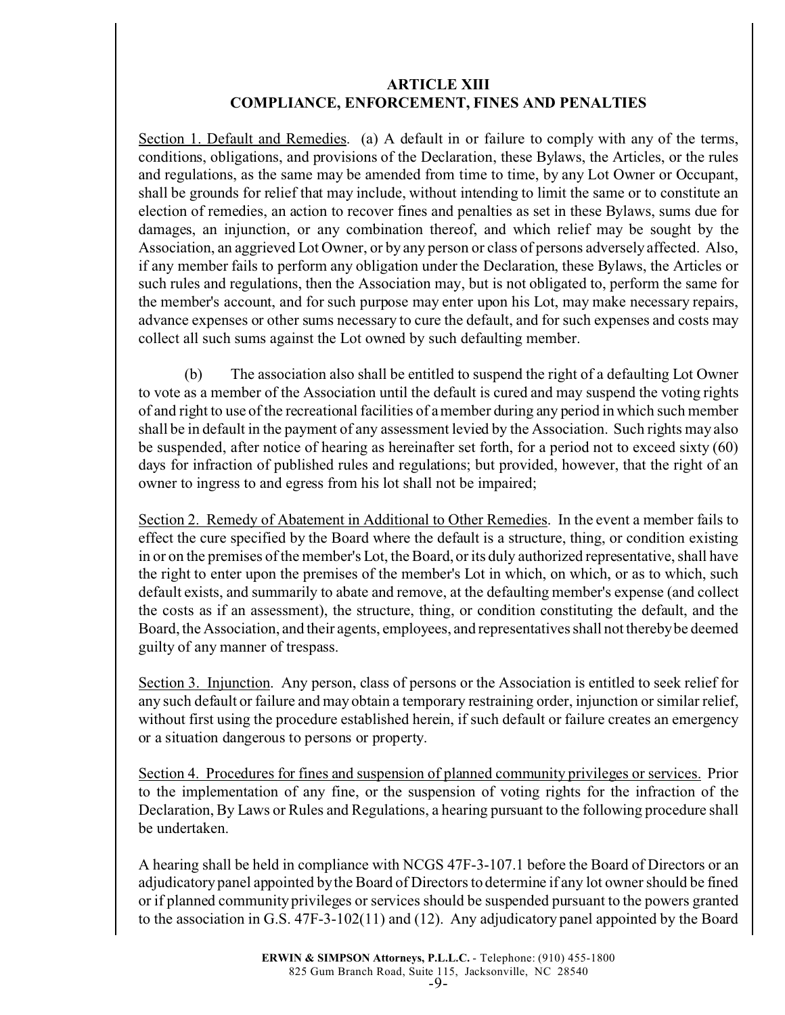### **ARTICLE XIII COMPLIANCE, ENFORCEMENT, FINES AND PENALTIES**

Section 1. Default and Remedies. (a) A default in or failure to comply with any of the terms, conditions, obligations, and provisions of the Declaration, these Bylaws, the Articles, or the rules and regulations, as the same may be amended from time to time, by any Lot Owner or Occupant, shall be grounds for relief that may include, without intending to limit the same or to constitute an election of remedies, an action to recover fines and penalties as set in these Bylaws, sums due for damages, an injunction, or any combination thereof, and which relief may be sought by the Association, an aggrieved Lot Owner, or by any person or class of persons adversely affected. Also, if any member fails to perform any obligation under the Declaration, these Bylaws, the Articles or such rules and regulations, then the Association may, but is not obligated to, perform the same for the member's account, and for such purpose may enter upon his Lot, may make necessary repairs, advance expenses or other sums necessary to cure the default, and for such expenses and costs may collect all such sums against the Lot owned by such defaulting member.

(b) The association also shall be entitled to suspend the right of a defaulting Lot Owner to vote as a member of the Association until the default is cured and may suspend the voting rights of and right to use of the recreational facilities of a member during any period in which such member shall be in default in the payment of any assessment levied by the Association. Such rights may also be suspended, after notice of hearing as hereinafter set forth, for a period not to exceed sixty (60) days for infraction of published rules and regulations; but provided, however, that the right of an owner to ingress to and egress from his lot shall not be impaired;

Section 2. Remedy of Abatement in Additional to Other Remedies. In the event a member fails to effect the cure specified by the Board where the default is a structure, thing, or condition existing in or on the premises of the member's Lot, the Board, or its duly authorized representative, shall have the right to enter upon the premises of the member's Lot in which, on which, or as to which, such default exists, and summarily to abate and remove, at the defaulting member's expense (and collect the costs as if an assessment), the structure, thing, or condition constituting the default, and the Board, the Association, and their agents, employees, and representatives shall not thereby be deemed guilty of any manner of trespass.

Section 3. Injunction. Any person, class of persons or the Association is entitled to seek relief for any such default or failure and may obtain a temporary restraining order, injunction or similar relief, without first using the procedure established herein, if such default or failure creates an emergency or a situation dangerous to persons or property.

Section 4. Procedures for fines and suspension of planned community privileges or services. Prior to the implementation of any fine, or the suspension of voting rights for the infraction of the Declaration, By Laws or Rules and Regulations, a hearing pursuant to the following procedure shall be undertaken.

A hearing shall be held in compliance with NCGS 47F-3-107.1 before the Board of Directors or an adjudicatory panel appointed by the Board of Directors to determine if any lot owner should be fined or if planned community privileges or services should be suspended pursuant to the powers granted to the association in G.S. 47F-3-102(11) and (12). Any adjudicatory panel appointed by the Board